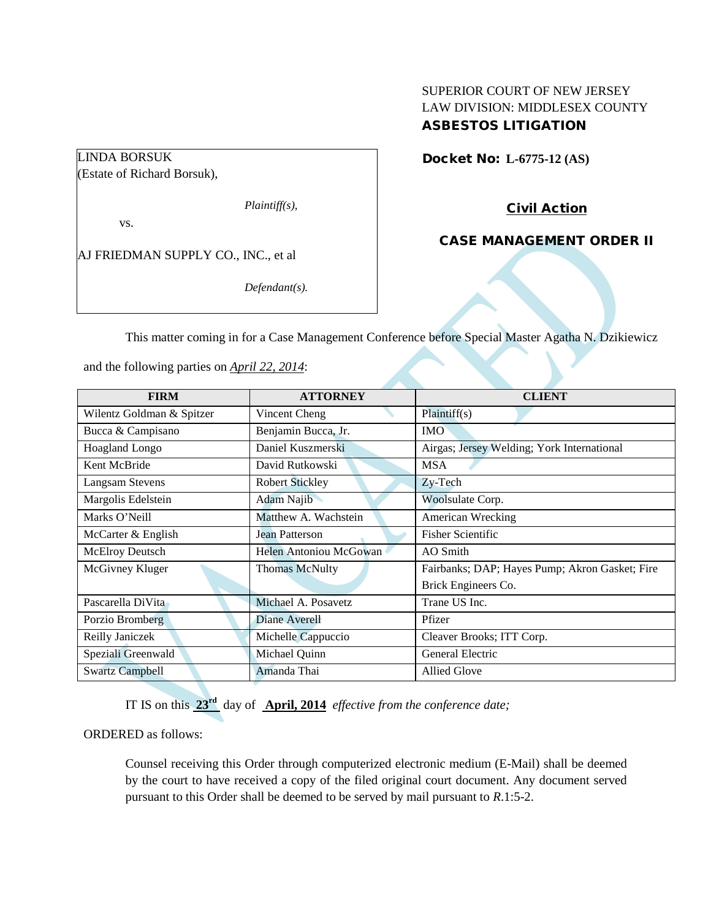## LINDA BORSUK

(Estate of Richard Borsuk),

*Plaintiff(s),*

vs.

AJ FRIEDMAN SUPPLY CO., INC., et al

*Defendant(s).*

### SUPERIOR COURT OF NEW JERSEY LAW DIVISION: MIDDLESEX COUNTY ASBESTOS LITIGATION

Docket No: **L-6775-12 (AS)** 

Civil Action

CASE MANAGEMENT ORDER II

This matter coming in for a Case Management Conference before Special Master Agatha N. Dzikiewicz

| and the following parties on <i>April 22, 2014</i> : |  |
|------------------------------------------------------|--|
|------------------------------------------------------|--|

| <b>FIRM</b>               | <b>ATTORNEY</b>        | <b>CLIENT</b>                                  |
|---------------------------|------------------------|------------------------------------------------|
| Wilentz Goldman & Spitzer | Vincent Cheng          | Plaintiff(s)                                   |
| Bucca & Campisano         | Benjamin Bucca, Jr.    | <b>IMO</b>                                     |
| Hoagland Longo            | Daniel Kuszmerski      | Airgas; Jersey Welding; York International     |
| Kent McBride              | David Rutkowski        | <b>MSA</b>                                     |
| Langsam Stevens           | <b>Robert Stickley</b> | Zy-Tech                                        |
| Margolis Edelstein        | <b>Adam Najib</b>      | Woolsulate Corp.                               |
| Marks O'Neill             | Matthew A. Wachstein   | <b>American Wrecking</b>                       |
| McCarter & English        | <b>Jean Patterson</b>  | <b>Fisher Scientific</b>                       |
| <b>McElroy Deutsch</b>    | Helen Antoniou McGowan | AO Smith                                       |
| McGivney Kluger           | <b>Thomas McNulty</b>  | Fairbanks; DAP; Hayes Pump; Akron Gasket; Fire |
|                           |                        | Brick Engineers Co.                            |
| Pascarella DiVita         | Michael A. Posavetz    | Trane US Inc.                                  |
| Porzio Bromberg           | Diane Averell          | Pfizer                                         |
| Reilly Janiczek           | Michelle Cappuccio     | Cleaver Brooks; ITT Corp.                      |
| Speziali Greenwald        | Michael Quinn          | General Electric                               |
| <b>Swartz Campbell</b>    | Amanda Thai            | <b>Allied Glove</b>                            |

IT IS on this **23rd** day of **April, 2014** *effective from the conference date;*

ORDERED as follows:

Counsel receiving this Order through computerized electronic medium (E-Mail) shall be deemed by the court to have received a copy of the filed original court document. Any document served pursuant to this Order shall be deemed to be served by mail pursuant to *R*.1:5-2.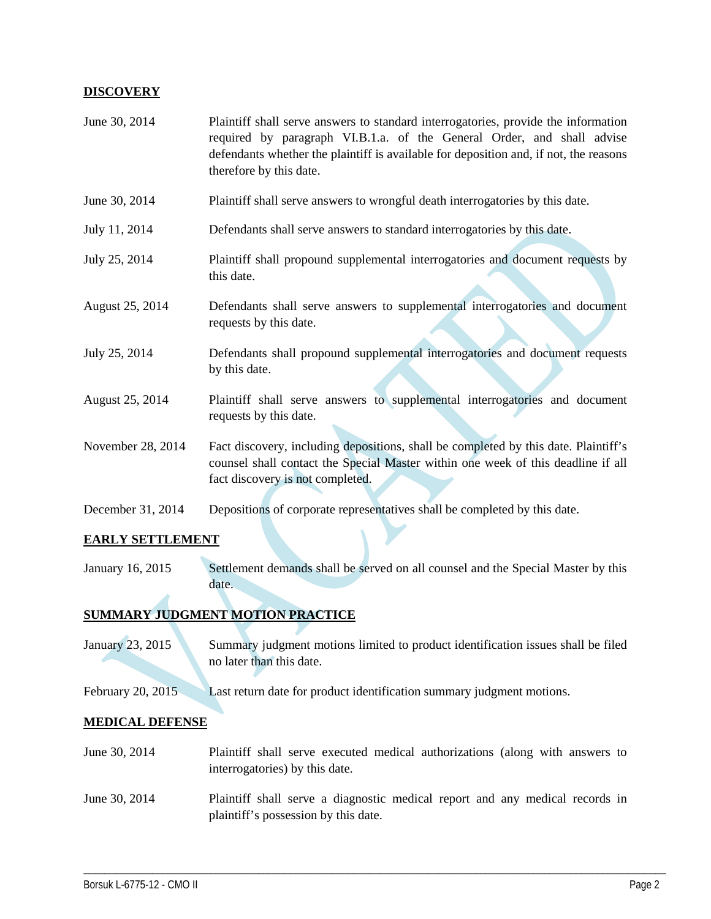#### **DISCOVERY**

| June 30, 2014     | Plaintiff shall serve answers to standard interrogatories, provide the information<br>required by paragraph VI.B.1.a. of the General Order, and shall advise<br>defendants whether the plaintiff is available for deposition and, if not, the reasons<br>therefore by this date. |
|-------------------|----------------------------------------------------------------------------------------------------------------------------------------------------------------------------------------------------------------------------------------------------------------------------------|
| June 30, 2014     | Plaintiff shall serve answers to wrongful death interrogatories by this date.                                                                                                                                                                                                    |
| July 11, 2014     | Defendants shall serve answers to standard interrogatories by this date.                                                                                                                                                                                                         |
| July 25, 2014     | Plaintiff shall propound supplemental interrogatories and document requests by<br>this date.                                                                                                                                                                                     |
| August 25, 2014   | Defendants shall serve answers to supplemental interrogatories and document<br>requests by this date.                                                                                                                                                                            |
| July 25, 2014     | Defendants shall propound supplemental interrogatories and document requests<br>by this date.                                                                                                                                                                                    |
| August 25, 2014   | Plaintiff shall serve answers to supplemental interrogatories and document<br>requests by this date.                                                                                                                                                                             |
| November 28, 2014 | Fact discovery, including depositions, shall be completed by this date. Plaintiff's<br>counsel shall contact the Special Master within one week of this deadline if all<br>fact discovery is not completed.                                                                      |
| December 31, 2014 | Depositions of corporate representatives shall be completed by this date.                                                                                                                                                                                                        |

#### **EARLY SETTLEMENT**

January 16, 2015 Settlement demands shall be served on all counsel and the Special Master by this date.

# **SUMMARY JUDGMENT MOTION PRACTICE**

- January 23, 2015 Summary judgment motions limited to product identification issues shall be filed no later than this date.
- February 20, 2015 Last return date for product identification summary judgment motions.

#### **MEDICAL DEFENSE**

- June 30, 2014 Plaintiff shall serve executed medical authorizations (along with answers to interrogatories) by this date.
- June 30, 2014 Plaintiff shall serve a diagnostic medical report and any medical records in plaintiff's possession by this date.

\_\_\_\_\_\_\_\_\_\_\_\_\_\_\_\_\_\_\_\_\_\_\_\_\_\_\_\_\_\_\_\_\_\_\_\_\_\_\_\_\_\_\_\_\_\_\_\_\_\_\_\_\_\_\_\_\_\_\_\_\_\_\_\_\_\_\_\_\_\_\_\_\_\_\_\_\_\_\_\_\_\_\_\_\_\_\_\_\_\_\_\_\_\_\_\_\_\_\_\_\_\_\_\_\_\_\_\_\_\_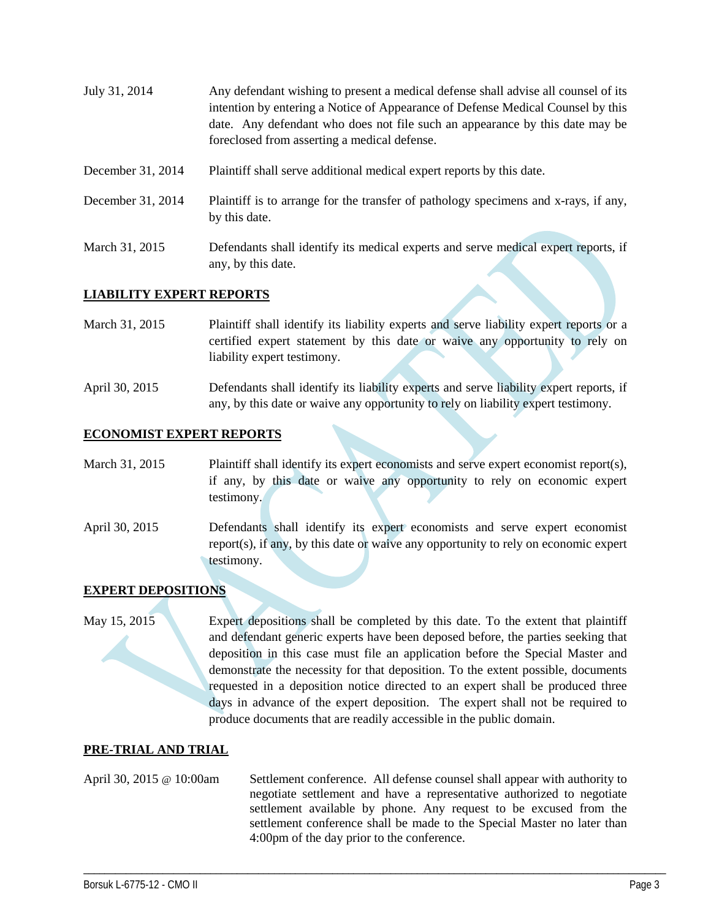| July 31, 2014     | Any defendant wishing to present a medical defense shall advise all counsel of its<br>intention by entering a Notice of Appearance of Defense Medical Counsel by this<br>date. Any defendant who does not file such an appearance by this date may be<br>foreclosed from asserting a medical defense. |
|-------------------|-------------------------------------------------------------------------------------------------------------------------------------------------------------------------------------------------------------------------------------------------------------------------------------------------------|
| December 31, 2014 | Plaintiff shall serve additional medical expert reports by this date.                                                                                                                                                                                                                                 |
| December 31, 2014 | Plaintiff is to arrange for the transfer of pathology specimens and x-rays, if any,<br>by this date.                                                                                                                                                                                                  |
| March 31, 2015    | Defendants shall identify its medical experts and serve medical expert reports, if                                                                                                                                                                                                                    |

#### **LIABILITY EXPERT REPORTS**

any, by this date.

March 31, 2015 Plaintiff shall identify its liability experts and serve liability expert reports or a certified expert statement by this date or waive any opportunity to rely on liability expert testimony.

April 30, 2015 Defendants shall identify its liability experts and serve liability expert reports, if any, by this date or waive any opportunity to rely on liability expert testimony.

#### **ECONOMIST EXPERT REPORTS**

March 31, 2015 Plaintiff shall identify its expert economists and serve expert economist report(s), if any, by this date or waive any opportunity to rely on economic expert testimony.

April 30, 2015 Defendants shall identify its expert economists and serve expert economist report(s), if any, by this date or waive any opportunity to rely on economic expert testimony.

#### **EXPERT DEPOSITIONS**

May 15, 2015 Expert depositions shall be completed by this date. To the extent that plaintiff and defendant generic experts have been deposed before, the parties seeking that deposition in this case must file an application before the Special Master and demonstrate the necessity for that deposition. To the extent possible, documents requested in a deposition notice directed to an expert shall be produced three days in advance of the expert deposition. The expert shall not be required to produce documents that are readily accessible in the public domain.

#### **PRE-TRIAL AND TRIAL**

April 30, 2015 @ 10:00am Settlement conference. All defense counsel shall appear with authority to negotiate settlement and have a representative authorized to negotiate settlement available by phone. Any request to be excused from the settlement conference shall be made to the Special Master no later than 4:00pm of the day prior to the conference.

\_\_\_\_\_\_\_\_\_\_\_\_\_\_\_\_\_\_\_\_\_\_\_\_\_\_\_\_\_\_\_\_\_\_\_\_\_\_\_\_\_\_\_\_\_\_\_\_\_\_\_\_\_\_\_\_\_\_\_\_\_\_\_\_\_\_\_\_\_\_\_\_\_\_\_\_\_\_\_\_\_\_\_\_\_\_\_\_\_\_\_\_\_\_\_\_\_\_\_\_\_\_\_\_\_\_\_\_\_\_